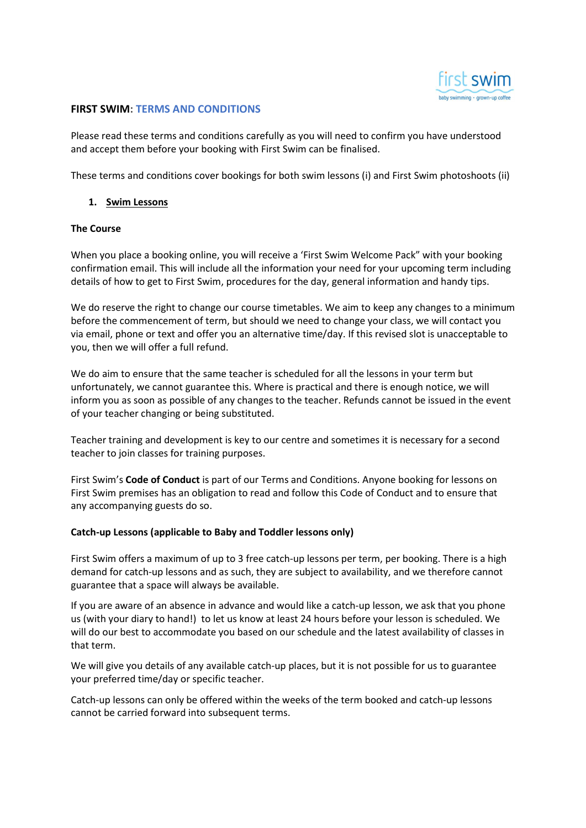

# FIRST SWIM: TERMS AND CONDITIONS

Please read these terms and conditions carefully as you will need to confirm you have understood and accept them before your booking with First Swim can be finalised.

These terms and conditions cover bookings for both swim lessons (i) and First Swim photoshoots (ii)

### 1. Swim Lessons

#### The Course

When you place a booking online, you will receive a 'First Swim Welcome Pack" with your booking confirmation email. This will include all the information your need for your upcoming term including details of how to get to First Swim, procedures for the day, general information and handy tips.

We do reserve the right to change our course timetables. We aim to keep any changes to a minimum before the commencement of term, but should we need to change your class, we will contact you via email, phone or text and offer you an alternative time/day. If this revised slot is unacceptable to you, then we will offer a full refund.

We do aim to ensure that the same teacher is scheduled for all the lessons in your term but unfortunately, we cannot guarantee this. Where is practical and there is enough notice, we will inform you as soon as possible of any changes to the teacher. Refunds cannot be issued in the event of your teacher changing or being substituted.

Teacher training and development is key to our centre and sometimes it is necessary for a second teacher to join classes for training purposes.

First Swim's Code of Conduct is part of our Terms and Conditions. Anyone booking for lessons on First Swim premises has an obligation to read and follow this Code of Conduct and to ensure that any accompanying guests do so.

# Catch-up Lessons (applicable to Baby and Toddler lessons only)

First Swim offers a maximum of up to 3 free catch-up lessons per term, per booking. There is a high demand for catch-up lessons and as such, they are subject to availability, and we therefore cannot guarantee that a space will always be available.

If you are aware of an absence in advance and would like a catch-up lesson, we ask that you phone us (with your diary to hand!) to let us know at least 24 hours before your lesson is scheduled. We will do our best to accommodate you based on our schedule and the latest availability of classes in that term.

We will give you details of any available catch-up places, but it is not possible for us to guarantee your preferred time/day or specific teacher.

Catch-up lessons can only be offered within the weeks of the term booked and catch-up lessons cannot be carried forward into subsequent terms.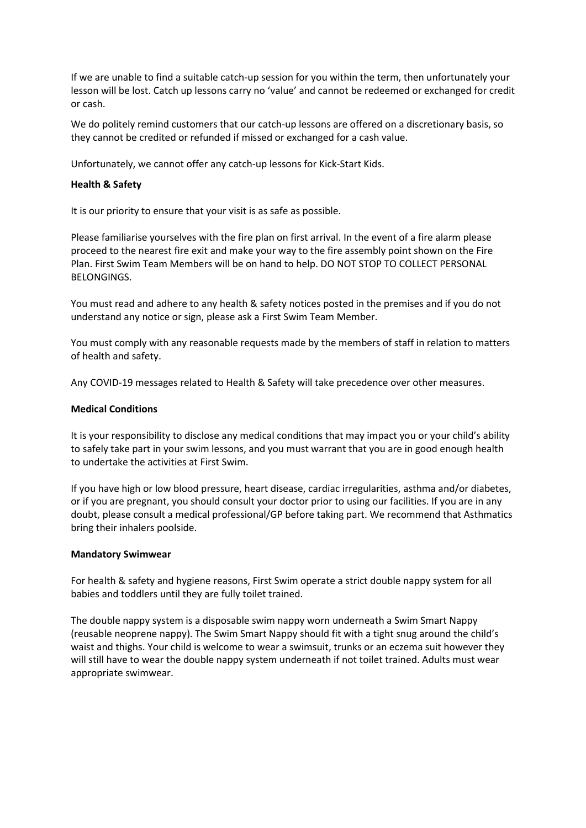If we are unable to find a suitable catch-up session for you within the term, then unfortunately your lesson will be lost. Catch up lessons carry no 'value' and cannot be redeemed or exchanged for credit or cash.

We do politely remind customers that our catch-up lessons are offered on a discretionary basis, so they cannot be credited or refunded if missed or exchanged for a cash value.

Unfortunately, we cannot offer any catch-up lessons for Kick-Start Kids.

### Health & Safety

It is our priority to ensure that your visit is as safe as possible.

Please familiarise yourselves with the fire plan on first arrival. In the event of a fire alarm please proceed to the nearest fire exit and make your way to the fire assembly point shown on the Fire Plan. First Swim Team Members will be on hand to help. DO NOT STOP TO COLLECT PERSONAL BELONGINGS.

You must read and adhere to any health & safety notices posted in the premises and if you do not understand any notice or sign, please ask a First Swim Team Member.

You must comply with any reasonable requests made by the members of staff in relation to matters of health and safety.

Any COVID-19 messages related to Health & Safety will take precedence over other measures.

#### Medical Conditions

It is your responsibility to disclose any medical conditions that may impact you or your child's ability to safely take part in your swim lessons, and you must warrant that you are in good enough health to undertake the activities at First Swim.

If you have high or low blood pressure, heart disease, cardiac irregularities, asthma and/or diabetes, or if you are pregnant, you should consult your doctor prior to using our facilities. If you are in any doubt, please consult a medical professional/GP before taking part. We recommend that Asthmatics bring their inhalers poolside.

#### Mandatory Swimwear

For health & safety and hygiene reasons, First Swim operate a strict double nappy system for all babies and toddlers until they are fully toilet trained.

The double nappy system is a disposable swim nappy worn underneath a Swim Smart Nappy (reusable neoprene nappy). The Swim Smart Nappy should fit with a tight snug around the child's waist and thighs. Your child is welcome to wear a swimsuit, trunks or an eczema suit however they will still have to wear the double nappy system underneath if not toilet trained. Adults must wear appropriate swimwear.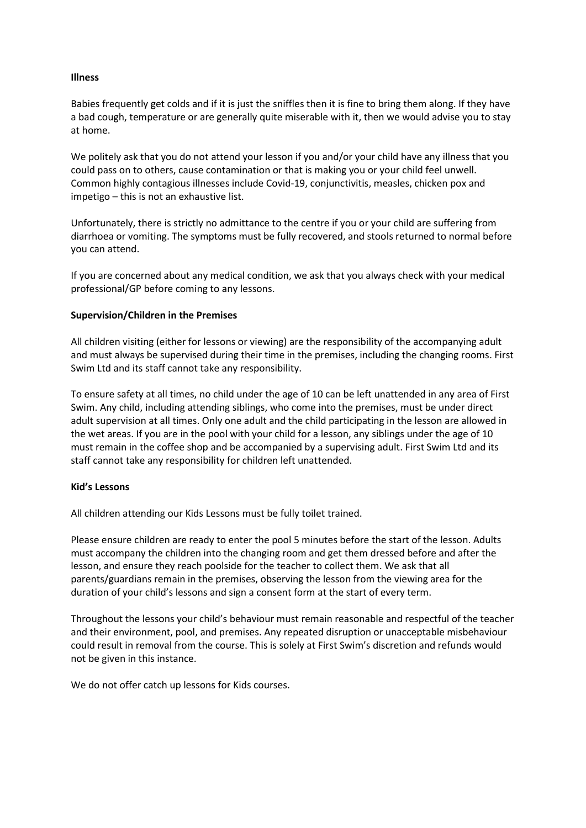# Illness

Babies frequently get colds and if it is just the sniffles then it is fine to bring them along. If they have a bad cough, temperature or are generally quite miserable with it, then we would advise you to stay at home.

We politely ask that you do not attend your lesson if you and/or your child have any illness that you could pass on to others, cause contamination or that is making you or your child feel unwell. Common highly contagious illnesses include Covid-19, conjunctivitis, measles, chicken pox and impetigo – this is not an exhaustive list.

Unfortunately, there is strictly no admittance to the centre if you or your child are suffering from diarrhoea or vomiting. The symptoms must be fully recovered, and stools returned to normal before you can attend.

If you are concerned about any medical condition, we ask that you always check with your medical professional/GP before coming to any lessons.

#### Supervision/Children in the Premises

All children visiting (either for lessons or viewing) are the responsibility of the accompanying adult and must always be supervised during their time in the premises, including the changing rooms. First Swim Ltd and its staff cannot take any responsibility.

To ensure safety at all times, no child under the age of 10 can be left unattended in any area of First Swim. Any child, including attending siblings, who come into the premises, must be under direct adult supervision at all times. Only one adult and the child participating in the lesson are allowed in the wet areas. If you are in the pool with your child for a lesson, any siblings under the age of 10 must remain in the coffee shop and be accompanied by a supervising adult. First Swim Ltd and its staff cannot take any responsibility for children left unattended.

#### Kid's Lessons

All children attending our Kids Lessons must be fully toilet trained.

Please ensure children are ready to enter the pool 5 minutes before the start of the lesson. Adults must accompany the children into the changing room and get them dressed before and after the lesson, and ensure they reach poolside for the teacher to collect them. We ask that all parents/guardians remain in the premises, observing the lesson from the viewing area for the duration of your child's lessons and sign a consent form at the start of every term.

Throughout the lessons your child's behaviour must remain reasonable and respectful of the teacher and their environment, pool, and premises. Any repeated disruption or unacceptable misbehaviour could result in removal from the course. This is solely at First Swim's discretion and refunds would not be given in this instance.

We do not offer catch up lessons for Kids courses.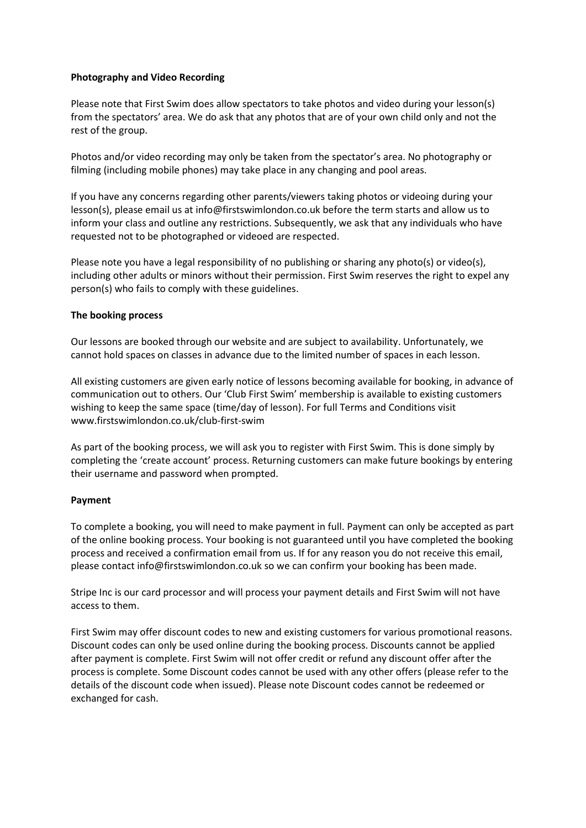# Photography and Video Recording

Please note that First Swim does allow spectators to take photos and video during your lesson(s) from the spectators' area. We do ask that any photos that are of your own child only and not the rest of the group.

Photos and/or video recording may only be taken from the spectator's area. No photography or filming (including mobile phones) may take place in any changing and pool areas.

If you have any concerns regarding other parents/viewers taking photos or videoing during your lesson(s), please email us at info@firstswimlondon.co.uk before the term starts and allow us to inform your class and outline any restrictions. Subsequently, we ask that any individuals who have requested not to be photographed or videoed are respected.

Please note you have a legal responsibility of no publishing or sharing any photo(s) or video(s), including other adults or minors without their permission. First Swim reserves the right to expel any person(s) who fails to comply with these guidelines.

# The booking process

Our lessons are booked through our website and are subject to availability. Unfortunately, we cannot hold spaces on classes in advance due to the limited number of spaces in each lesson.

All existing customers are given early notice of lessons becoming available for booking, in advance of communication out to others. Our 'Club First Swim' membership is available to existing customers wishing to keep the same space (time/day of lesson). For full Terms and Conditions visit www.firstswimlondon.co.uk/club-first-swim

As part of the booking process, we will ask you to register with First Swim. This is done simply by completing the 'create account' process. Returning customers can make future bookings by entering their username and password when prompted.

# Payment

To complete a booking, you will need to make payment in full. Payment can only be accepted as part of the online booking process. Your booking is not guaranteed until you have completed the booking process and received a confirmation email from us. If for any reason you do not receive this email, please contact info@firstswimlondon.co.uk so we can confirm your booking has been made.

Stripe Inc is our card processor and will process your payment details and First Swim will not have access to them.

First Swim may offer discount codes to new and existing customers for various promotional reasons. Discount codes can only be used online during the booking process. Discounts cannot be applied after payment is complete. First Swim will not offer credit or refund any discount offer after the process is complete. Some Discount codes cannot be used with any other offers (please refer to the details of the discount code when issued). Please note Discount codes cannot be redeemed or exchanged for cash.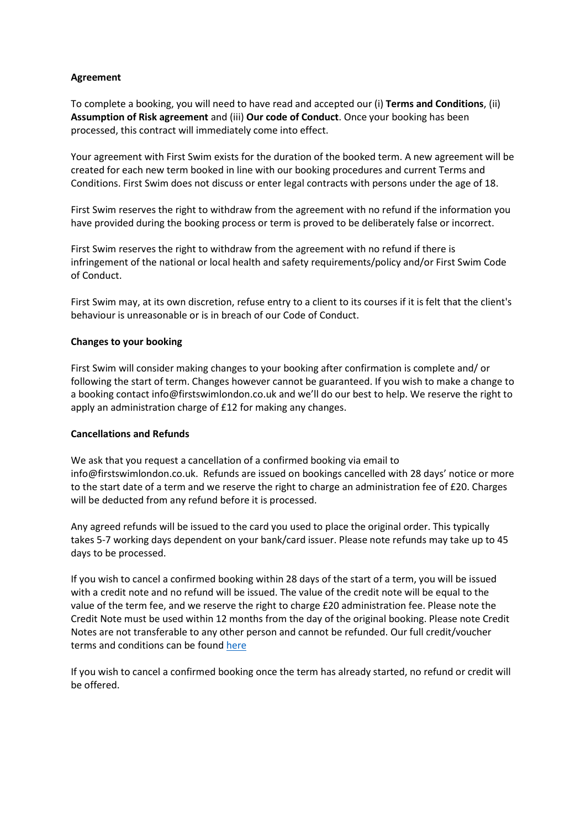# Agreement

To complete a booking, you will need to have read and accepted our (i) Terms and Conditions, (ii) Assumption of Risk agreement and (iii) Our code of Conduct. Once your booking has been processed, this contract will immediately come into effect.

Your agreement with First Swim exists for the duration of the booked term. A new agreement will be created for each new term booked in line with our booking procedures and current Terms and Conditions. First Swim does not discuss or enter legal contracts with persons under the age of 18.

First Swim reserves the right to withdraw from the agreement with no refund if the information you have provided during the booking process or term is proved to be deliberately false or incorrect.

First Swim reserves the right to withdraw from the agreement with no refund if there is infringement of the national or local health and safety requirements/policy and/or First Swim Code of Conduct.

First Swim may, at its own discretion, refuse entry to a client to its courses if it is felt that the client's behaviour is unreasonable or is in breach of our Code of Conduct.

# Changes to your booking

First Swim will consider making changes to your booking after confirmation is complete and/ or following the start of term. Changes however cannot be guaranteed. If you wish to make a change to a booking contact info@firstswimlondon.co.uk and we'll do our best to help. We reserve the right to apply an administration charge of £12 for making any changes.

# Cancellations and Refunds

We ask that you request a cancellation of a confirmed booking via email to info@firstswimlondon.co.uk. Refunds are issued on bookings cancelled with 28 days' notice or more to the start date of a term and we reserve the right to charge an administration fee of £20. Charges will be deducted from any refund before it is processed.

Any agreed refunds will be issued to the card you used to place the original order. This typically takes 5-7 working days dependent on your bank/card issuer. Please note refunds may take up to 45 days to be processed.

If you wish to cancel a confirmed booking within 28 days of the start of a term, you will be issued with a credit note and no refund will be issued. The value of the credit note will be equal to the value of the term fee, and we reserve the right to charge £20 administration fee. Please note the Credit Note must be used within 12 months from the day of the original booking. Please note Credit Notes are not transferable to any other person and cannot be refunded. Our full credit/voucher terms and conditions can be found here

If you wish to cancel a confirmed booking once the term has already started, no refund or credit will be offered.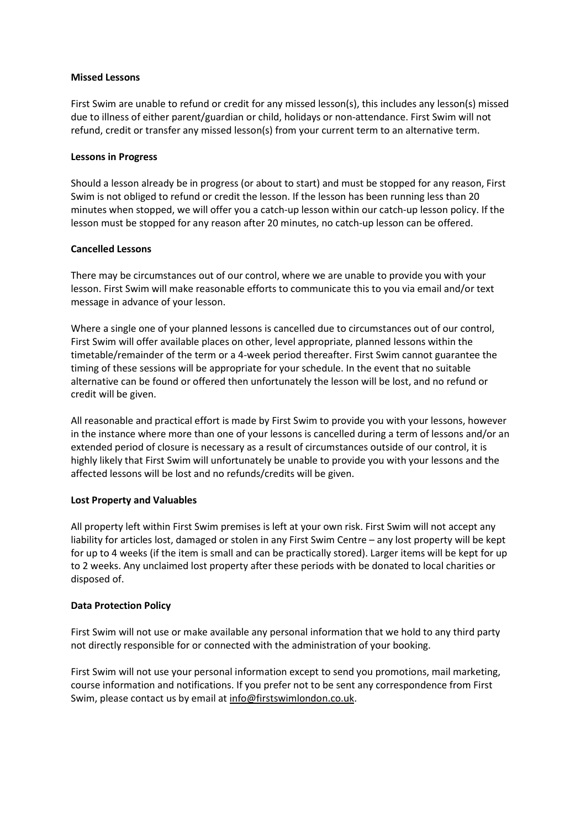### Missed Lessons

First Swim are unable to refund or credit for any missed lesson(s), this includes any lesson(s) missed due to illness of either parent/guardian or child, holidays or non-attendance. First Swim will not refund, credit or transfer any missed lesson(s) from your current term to an alternative term.

### Lessons in Progress

Should a lesson already be in progress (or about to start) and must be stopped for any reason, First Swim is not obliged to refund or credit the lesson. If the lesson has been running less than 20 minutes when stopped, we will offer you a catch-up lesson within our catch-up lesson policy. If the lesson must be stopped for any reason after 20 minutes, no catch-up lesson can be offered.

# Cancelled Lessons

There may be circumstances out of our control, where we are unable to provide you with your lesson. First Swim will make reasonable efforts to communicate this to you via email and/or text message in advance of your lesson.

Where a single one of your planned lessons is cancelled due to circumstances out of our control, First Swim will offer available places on other, level appropriate, planned lessons within the timetable/remainder of the term or a 4-week period thereafter. First Swim cannot guarantee the timing of these sessions will be appropriate for your schedule. In the event that no suitable alternative can be found or offered then unfortunately the lesson will be lost, and no refund or credit will be given.

All reasonable and practical effort is made by First Swim to provide you with your lessons, however in the instance where more than one of your lessons is cancelled during a term of lessons and/or an extended period of closure is necessary as a result of circumstances outside of our control, it is highly likely that First Swim will unfortunately be unable to provide you with your lessons and the affected lessons will be lost and no refunds/credits will be given.

# Lost Property and Valuables

All property left within First Swim premises is left at your own risk. First Swim will not accept any liability for articles lost, damaged or stolen in any First Swim Centre – any lost property will be kept for up to 4 weeks (if the item is small and can be practically stored). Larger items will be kept for up to 2 weeks. Any unclaimed lost property after these periods with be donated to local charities or disposed of.

# Data Protection Policy

First Swim will not use or make available any personal information that we hold to any third party not directly responsible for or connected with the administration of your booking.

First Swim will not use your personal information except to send you promotions, mail marketing, course information and notifications. If you prefer not to be sent any correspondence from First Swim, please contact us by email at info@firstswimlondon.co.uk.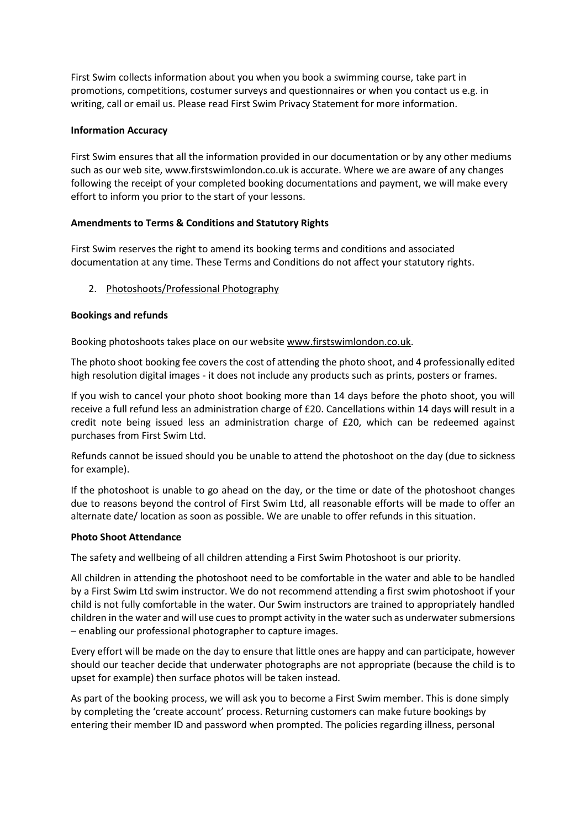First Swim collects information about you when you book a swimming course, take part in promotions, competitions, costumer surveys and questionnaires or when you contact us e.g. in writing, call or email us. Please read First Swim Privacy Statement for more information.

# Information Accuracy

First Swim ensures that all the information provided in our documentation or by any other mediums such as our web site, www.firstswimlondon.co.uk is accurate. Where we are aware of any changes following the receipt of your completed booking documentations and payment, we will make every effort to inform you prior to the start of your lessons.

# Amendments to Terms & Conditions and Statutory Rights

First Swim reserves the right to amend its booking terms and conditions and associated documentation at any time. These Terms and Conditions do not affect your statutory rights.

# 2. Photoshoots/Professional Photography

# Bookings and refunds

Booking photoshoots takes place on our website www.firstswimlondon.co.uk.

The photo shoot booking fee covers the cost of attending the photo shoot, and 4 professionally edited high resolution digital images - it does not include any products such as prints, posters or frames.

If you wish to cancel your photo shoot booking more than 14 days before the photo shoot, you will receive a full refund less an administration charge of £20. Cancellations within 14 days will result in a credit note being issued less an administration charge of £20, which can be redeemed against purchases from First Swim Ltd.

Refunds cannot be issued should you be unable to attend the photoshoot on the day (due to sickness for example).

If the photoshoot is unable to go ahead on the day, or the time or date of the photoshoot changes due to reasons beyond the control of First Swim Ltd, all reasonable efforts will be made to offer an alternate date/ location as soon as possible. We are unable to offer refunds in this situation.

# Photo Shoot Attendance

The safety and wellbeing of all children attending a First Swim Photoshoot is our priority.

All children in attending the photoshoot need to be comfortable in the water and able to be handled by a First Swim Ltd swim instructor. We do not recommend attending a first swim photoshoot if your child is not fully comfortable in the water. Our Swim instructors are trained to appropriately handled children in the water and will use cues to prompt activity in the water such as underwater submersions – enabling our professional photographer to capture images.

Every effort will be made on the day to ensure that little ones are happy and can participate, however should our teacher decide that underwater photographs are not appropriate (because the child is to upset for example) then surface photos will be taken instead.

As part of the booking process, we will ask you to become a First Swim member. This is done simply by completing the 'create account' process. Returning customers can make future bookings by entering their member ID and password when prompted. The policies regarding illness, personal